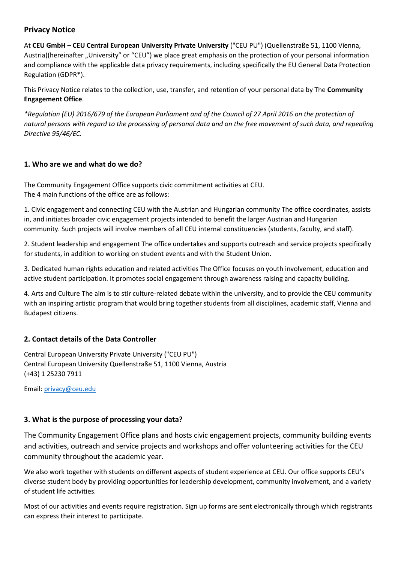# **Privacy Notice**

At **CEU GmbH – CEU Central European University Private University** ("CEU PU") (Quellenstraße 51, 1100 Vienna, Austria)(hereinafter "University" or "CEU") we place great emphasis on the protection of your personal information and compliance with the applicable data privacy requirements, including specifically the EU General Data Protection Regulation (GDPR\*).

This Privacy Notice relates to the collection, use, transfer, and retention of your personal data by The **Community Engagement Office**.

*\*Regulation (EU) 2016/679 of the European Parliament and of the Council of 27 April 2016 on the protection of natural persons with regard to the processing of personal data and on the free movement of such data, and repealing Directive 95/46/EC.* 

### **1. Who are we and what do we do?**

The Community Engagement Office supports civic commitment activities at CEU. The 4 main functions of the office are as follows:

1. Civic engagement and connecting CEU with the Austrian and Hungarian community The office coordinates, assists in, and initiates broader civic engagement projects intended to benefit the larger Austrian and Hungarian community. Such projects will involve members of all CEU internal constituencies (students, faculty, and staff).

2. Student leadership and engagement The office undertakes and supports outreach and service projects specifically for students, in addition to working on student events and with the Student Union.

3. Dedicated human rights education and related activities The Office focuses on youth involvement, education and active student participation. It promotes social engagement through awareness raising and capacity building.

4. Arts and Culture The aim is to stir culture-related debate within the university, and to provide the CEU community with an inspiring artistic program that would bring together students from all disciplines, academic staff, Vienna and Budapest citizens.

# **2. Contact details of the Data Controller**

Central European University Private University ("CEU PU") Central European University Quellenstraße 51, 1100 Vienna, Austria (+43) 1 25230 7911

Email: [privacy@ceu.edu](mailto:privacy@ceu.edu)

# **3. What is the purpose of processing your data?**

The Community Engagement Office plans and hosts civic engagement projects, community building events and activities, outreach and service projects and workshops and offer volunteering activities for the CEU community throughout the academic year.

We also work together with students on different aspects of student experience at CEU. Our office supports CEU's diverse student body by providing opportunities for leadership development, community involvement, and a variety of student life activities.

Most of our activities and events require registration. Sign up forms are sent electronically through which registrants can express their interest to participate.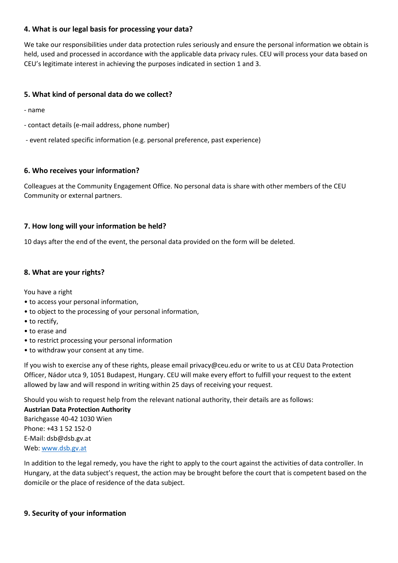### **4. What is our legal basis for processing your data?**

We take our responsibilities under data protection rules seriously and ensure the personal information we obtain is held, used and processed in accordance with the applicable data privacy rules. CEU will process your data based on CEU's legitimate interest in achieving the purposes indicated in section 1 and 3.

### **5. What kind of personal data do we collect?**

- name
- contact details (e-mail address, phone number)
- event related specific information (e.g. personal preference, past experience)

### **6. Who receives your information?**

Colleagues at the Community Engagement Office. No personal data is share with other members of the CEU Community or external partners.

### **7. How long will your information be held?**

10 days after the end of the event, the personal data provided on the form will be deleted.

### **8. What are your rights?**

You have a right

- to access your personal information,
- to object to the processing of your personal information,
- to rectify,
- to erase and
- to restrict processing your personal information
- to withdraw your consent at any time.

If you wish to exercise any of these rights, please email privacy@ceu.edu or write to us at CEU Data Protection Officer, Nádor utca 9, 1051 Budapest, Hungary. CEU will make every effort to fulfill your request to the extent allowed by law and will respond in writing within 25 days of receiving your request.

Should you wish to request help from the relevant national authority, their details are as follows:

**Austrian Data Protection Authority** Barichgasse 40-42 1030 Wien Phone: +43 1 52 152-0 E-Mail: dsb@dsb.gv.at Web[: www.dsb.gv.at](http://www.dsb.gv.at/)

In addition to the legal remedy, you have the right to apply to the court against the activities of data controller. In Hungary, at the data subject's request, the action may be brought before the court that is competent based on the domicile or the place of residence of the data subject.

### **9. Security of your information**